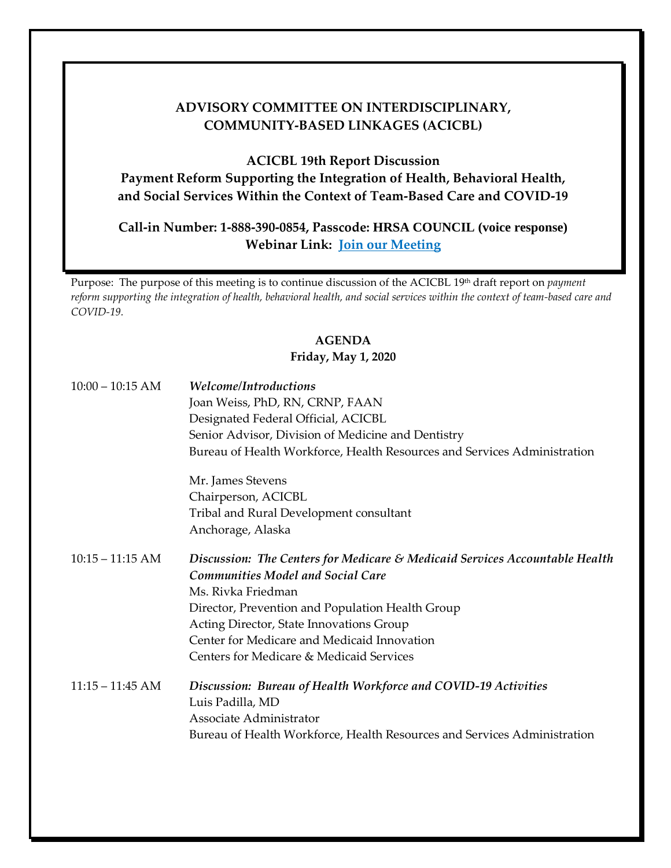## **COMMUNITY-BASED LINKAGES (ACICBL) ADVISORY COMMITTEE ON INTERDISCIPLINARY,**

**ACICBL 19th Report Discussion** 

 **and Social Services Within the Context of Team-Based Care and COVID-19 Payment Reform Supporting the Integration of Health, Behavioral Health,** 

 **Webinar Link: [Join our Meeting](https://hrsa.connectsolutions.com/acicbl)  Call-in Number: 1-888-390-0854, Passcode: HRSA COUNCIL (voice response)** 

 *reform supporting the integration of health, behavioral health, and social services within the context of team-based care and*  Purpose: The purpose of this meeting is to continue discussion of the ACICBL 19th draft report on *payment COVID-19.* 

## **AGENDA**

## **Friday, May 1, 2020**

| $10:00 - 10:15$ AM | Welcome/Introductions<br>Joan Weiss, PhD, RN, CRNP, FAAN<br>Designated Federal Official, ACICBL<br>Senior Advisor, Division of Medicine and Dentistry<br>Bureau of Health Workforce, Health Resources and Services Administration |
|--------------------|-----------------------------------------------------------------------------------------------------------------------------------------------------------------------------------------------------------------------------------|
|                    | Mr. James Stevens                                                                                                                                                                                                                 |
|                    | Chairperson, ACICBL                                                                                                                                                                                                               |
|                    | Tribal and Rural Development consultant                                                                                                                                                                                           |
|                    | Anchorage, Alaska                                                                                                                                                                                                                 |
| $10:15 - 11:15$ AM | Discussion: The Centers for Medicare & Medicaid Services Accountable Health<br><b>Communities Model and Social Care</b>                                                                                                           |
|                    | Ms. Rivka Friedman                                                                                                                                                                                                                |
|                    | Director, Prevention and Population Health Group                                                                                                                                                                                  |
|                    | Acting Director, State Innovations Group<br>Center for Medicare and Medicaid Innovation                                                                                                                                           |
|                    | Centers for Medicare & Medicaid Services                                                                                                                                                                                          |
|                    |                                                                                                                                                                                                                                   |
| $11:15 - 11:45$ AM | Discussion: Bureau of Health Workforce and COVID-19 Activities<br>Luis Padilla, MD<br>Associate Administrator                                                                                                                     |
|                    | Bureau of Health Workforce, Health Resources and Services Administration                                                                                                                                                          |